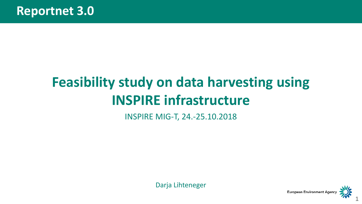# **Feasibility study on data harvesting using INSPIRE infrastructure**

INSPIRE MIG-T, 24.-25.10.2018

Darja Lihteneger

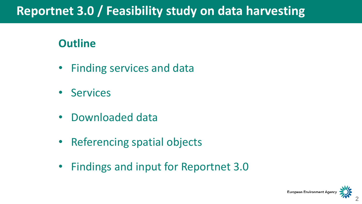## **Reportnet 3.0 / Feasibility study on data harvesting**

### **Outline**

- Finding services and data
- Services
- Downloaded data
- Referencing spatial objects
- Findings and input for Reportnet 3.0

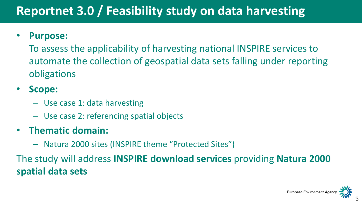# **Reportnet 3.0 / Feasibility study on data harvesting**

### • **Purpose:**

To assess the applicability of harvesting national INSPIRE services to automate the collection of geospatial data sets falling under reporting obligations

### • **Scope:**

- Use case 1: data harvesting
- Use case 2: referencing spatial objects

### • **Thematic domain:**

– Natura 2000 sites (INSPIRE theme "Protected Sites")

The study will address **INSPIRE download services** providing **Natura 2000 spatial data sets**

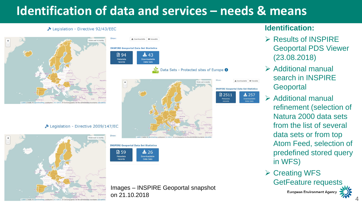## **Identification of data and services – needs & means**

#### Legislation - Directive 92/43/EEC



Deqislation - Directive 2009/147/EC



Downloadable **@** Viewable **INSPIRE Geoportal Data** ப் 94  $\star$  43 Metadata Data Sets records Data Sets - Protected sites of Europe <sup>6</sup> **INSPIRE Geoportal Data Set Statistics** 日2511 **INSPIRE Geoportal Data Set Statistics** 日59  $\frac{1}{2}$  26 Metadata **Ownloadabl** records Data Sets

Images – INSPIRE Geoportal snapshot on 21.10.2018

#### **Identification:**

Downloadable **@** Viewable

 $\frac{1}{2}$  257

- $\triangleright$  Results of INSPIRE Geoportal PDS Viewer (23.08.2018)
- $\triangleright$  Additional manual search in INSPIRE **Geoportal**
- $\triangleright$  Additional manual refinement (selection of Natura 2000 data sets from the list of several data sets or from top Atom Feed, selection of predefined stored query in WFS)
- $\triangleright$  Creating WFS GetFeature requests

**European Environment Agency** 

4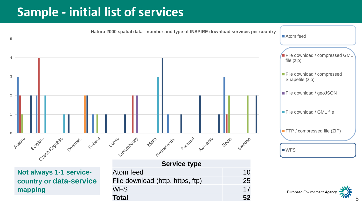### **Sample - initial list of services**



**country or data-service mapping**

| <b>Service type</b>              |                |
|----------------------------------|----------------|
| Atom feed                        | 1 <sub>0</sub> |
| File download (http, https, ftp) | 25             |
| <b>WFS</b>                       | 17             |
| Total                            | 52             |

**European Environment Agency**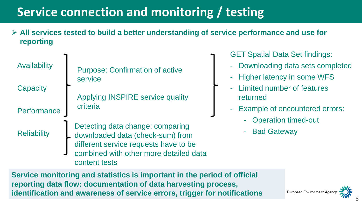# **Service connection and monitoring / testing**

 **All services tested to build a better understanding of service performance and use for reporting**

Availability **Capacity Performance Reliability** Purpose: Confirmation of active service Applying INSPIRE service quality criteria Detecting data change: comparing downloaded data (check-sum) from different service requests have to be combined with other more detailed data content tests

GET Spatial Data Set findings:

- Downloading data sets completed
- **Higher latency in some WFS**
- Limited number of features returned
- Example of encountered errors:
	- Operation timed-out
	- **Bad Gateway**

**Service monitoring and statistics is important in the period of official reporting data flow: documentation of data harvesting process, identification and awareness of service errors, trigger for notifications**

European Environment Ag

6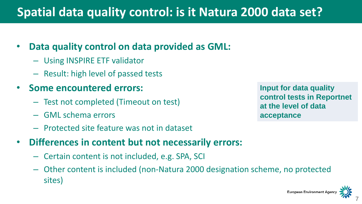## **Spatial data quality control: is it Natura 2000 data set?**

### • **Data quality control on data provided as GML:**

- Using INSPIRE ETF validator
- Result: high level of passed tests
- **Some encountered errors:**
	- Test not completed (Timeout on test)
	- GML schema errors
	- Protected site feature was not in dataset
- **Differences in content but not necessarily errors:**
	- Certain content is not included, e.g. SPA, SCI
	- Other content is included (non-Natura 2000 designation scheme, no protected sites)

**Input for data quality control tests in Reportnet at the level of data acceptance** 

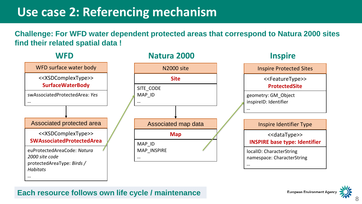### **Use case 2: Referencing mechanism**

#### **Challenge: For WFD water dependent protected areas that correspond to Natura 2000 sites find their related spatial data !**



#### **Each resource follows own life cycle / maintenance**

8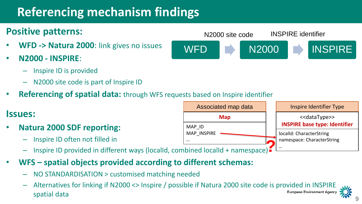# **Referencing mechanism findings**

### **Positive patterns:**

- **WFD -> Natura 2000**: link gives no issues
- **N2000 - INSPIRE**:
	- Inspire ID is provided
	- N2000 site code is part of Inspire ID
- **Referencing of spatial data:** through WFS requests based on Inspire identifier

### **Issues:**

- **Natura 2000 SDF reporting:**
	- Inspire ID often not filled in
	- Inspire ID provided in different ways (localId, combined localId + namespace)  $\blacksquare$
- **WFS – spatial objects provided according to different schemas:** 
	- NO STANDARDISATION > customised matching needed
	- Alternatives for linking if N2000 <> Inspire / possible if Natura 2000 site code is provided in INSPIRE **European Environment Agency** spatial data



Associated map data **Map** MAP\_ID MAP\_INSPIRE *…*

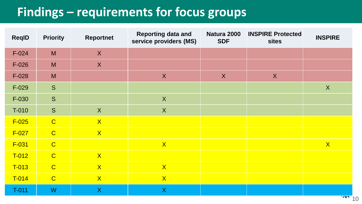# **Findings – requirements for focus groups**

| <b>ReqID</b> | <b>Priority</b> | <b>Reportnet</b> | <b>Reporting data and</b><br>service providers (MS) | Natura 2000<br><b>SDF</b> | <b>INSPIRE Protected</b><br><b>sites</b> | <b>INSPIRE</b> |
|--------------|-----------------|------------------|-----------------------------------------------------|---------------------------|------------------------------------------|----------------|
| $F-024$      | M               | X                |                                                     |                           |                                          |                |
| $F-026$      | M               | X                |                                                     |                           |                                          |                |
| $F-028$      | M               |                  | X                                                   | $\mathsf{X}$              | X                                        |                |
| $F-029$      | S               |                  |                                                     |                           |                                          | X              |
| F-030        | S               |                  | $\boldsymbol{\mathsf{X}}$                           |                           |                                          |                |
| $T-010$      | S               | $\boldsymbol{X}$ | $\boldsymbol{X}$                                    |                           |                                          |                |
| $F-025$      | $\overline{C}$  | X                |                                                     |                           |                                          |                |
| $F-027$      | $\overline{C}$  | X                |                                                     |                           |                                          |                |
| $F-031$      | $\overline{C}$  |                  | X                                                   |                           |                                          | $\mathsf{X}$   |
| $T-012$      | $\overline{C}$  | X                |                                                     |                           |                                          |                |
| T-013        | $\overline{C}$  | X                | X                                                   |                           |                                          |                |
| $T-014$      | $\overline{C}$  | X                | X                                                   |                           |                                          |                |
| T-011        | W               | $\mathsf{X}$     | X                                                   |                           |                                          |                |

 $\cdot$  10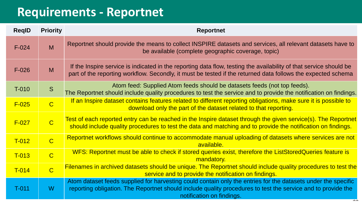### **Requirements - Reportnet**

| <b>RegID</b> | <b>Priority</b> | <b>Reportnet</b>                                                                                                                                                                                                                                           |
|--------------|-----------------|------------------------------------------------------------------------------------------------------------------------------------------------------------------------------------------------------------------------------------------------------------|
| $F-024$      | M               | Reportnet should provide the means to collect INSPIRE datasets and services, all relevant datasets have to<br>be available (complete geographic coverage, topic)                                                                                           |
| $F-026$      | M               | If the Inspire service is indicated in the reporting data flow, testing the availability of that service should be<br>part of the reporting workflow. Secondly, it must be tested if the returned data follows the expected schema                         |
| T-010        | S               | Atom feed: Supplied Atom feeds should be datasets feeds (not top feeds).<br>The Reportnet should include quality procedures to test the service and to provide the notification on findings.                                                               |
| $F-025$      | $\overline{C}$  | If an Inspire dataset contains features related to different reporting obligations, make sure it is possible to<br>download only the part of the dataset related to that reporting.                                                                        |
| $F-027$      | $\overline{C}$  | Test of each reported entry can be reached in the Inspire dataset through the given service(s). The Reportnet<br>should include quality procedures to test the data and matching and to provide the notification on findings.                              |
| $T-012$      | $\overline{C}$  | Reportnet workflows should continue to accommodate manual uploading of datasets where services are not<br>available.                                                                                                                                       |
| $T-013$      | $\overline{C}$  | WFS: Reportnet must be able to check if stored queries exist, therefore the ListStoredQueries feature is<br>mandatory.                                                                                                                                     |
| $T-014$      | $\overline{C}$  | Filenames in archived datasets should be unique. The Reportnet should include quality procedures to test the<br>service and to provide the notification on findings.                                                                                       |
| $T-011$      | W               | Atom dataset feeds supplied for harvesting could contain only the entries for the datasets under the specific<br>reporting obligation. The Reportnet should include quality procedures to test the service and to provide the<br>notification on findings. |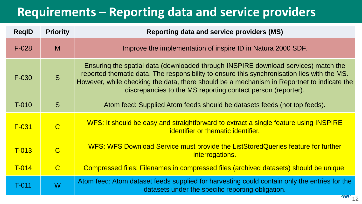## **Requirements – Reporting data and service providers**

| <b>RegID</b> | <b>Priority</b> | <b>Reporting data and service providers (MS)</b>                                                                                                                                                                                                                                                                                                |  |
|--------------|-----------------|-------------------------------------------------------------------------------------------------------------------------------------------------------------------------------------------------------------------------------------------------------------------------------------------------------------------------------------------------|--|
| $F-028$      | M               | Improve the implementation of inspire ID in Natura 2000 SDF.                                                                                                                                                                                                                                                                                    |  |
| $F-030$      | S               | Ensuring the spatial data (downloaded through INSPIRE download services) match the<br>reported thematic data. The responsibility to ensure this synchronisation lies with the MS.<br>However, while checking the data, there should be a mechanism in Reportnet to indicate the<br>discrepancies to the MS reporting contact person (reporter). |  |
| $T-010$      | S               | Atom feed: Supplied Atom feeds should be datasets feeds (not top feeds).                                                                                                                                                                                                                                                                        |  |
| $F-031$      | $\overline{C}$  | WFS: It should be easy and straightforward to extract a single feature using INSPIRE<br>identifier or thematic identifier.                                                                                                                                                                                                                      |  |
| T-013        | $\overline{C}$  | WFS: WFS Download Service must provide the ListStoredQueries feature for further<br>interrogations.                                                                                                                                                                                                                                             |  |
| $T-014$      | $\mathcal{C}$   | Compressed files: Filenames in compressed files (archived datasets) should be unique.                                                                                                                                                                                                                                                           |  |
| $T-011$      | W               | Atom feed: Atom dataset feeds supplied for harvesting could contain only the entries for the<br>datasets under the specific reporting obligation.                                                                                                                                                                                               |  |